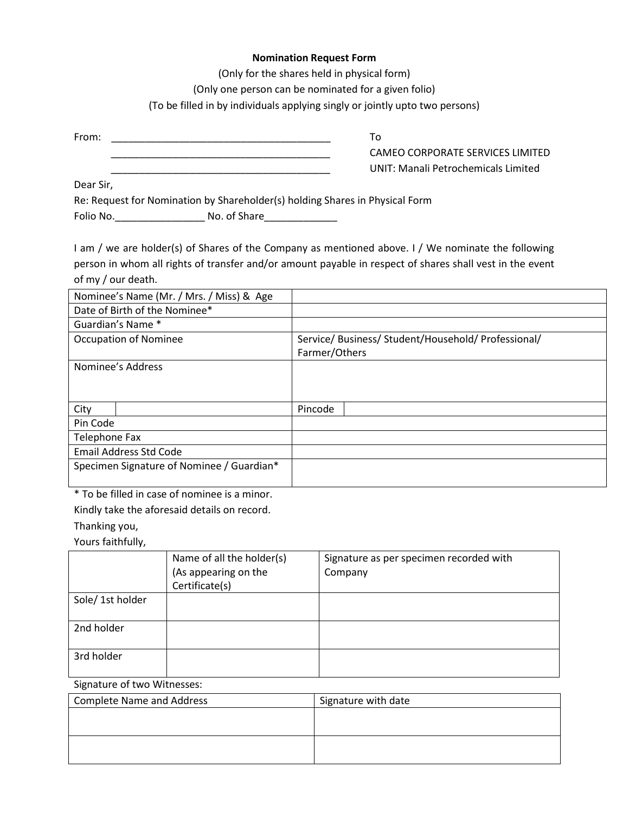## **Nomination Request Form**

(Only for the shares held in physical form)

(Only one person can be nominated for a given folio)

(To be filled in by individuals applying singly or jointly upto two persons)

From: \_\_\_\_\_\_\_\_\_\_\_\_\_\_\_\_\_\_\_\_\_\_\_\_\_\_\_\_\_\_\_\_\_\_\_\_\_\_\_ To

\_\_\_\_\_\_\_\_\_\_\_\_\_\_\_\_\_\_\_\_\_\_\_\_\_\_\_\_\_\_\_\_\_\_\_\_\_\_\_ CAMEO CORPORATE SERVICES LIMITED \_\_\_\_\_\_\_\_\_\_\_\_\_\_\_\_\_\_\_\_\_\_\_\_\_\_\_\_\_\_\_\_\_\_\_\_\_\_\_ UNIT: Manali Petrochemicals Limited

Dear Sir,

Re: Request for Nomination by Shareholder(s) holding Shares in Physical Form

Folio No.\_\_\_\_\_\_\_\_\_\_\_\_\_\_\_\_\_\_\_\_\_\_\_\_ No. of Share\_\_\_\_\_\_\_\_\_\_\_\_\_\_\_\_\_\_\_\_\_\_\_\_\_\_\_\_\_\_\_\_\_\_

I am / we are holder(s) of Shares of the Company as mentioned above. I / We nominate the following person in whom all rights of transfer and/or amount payable in respect of shares shall vest in the event of my / our death.

| Nominee's Name (Mr. / Mrs. / Miss) & Age  |  |               |                                                     |
|-------------------------------------------|--|---------------|-----------------------------------------------------|
| Date of Birth of the Nominee*             |  |               |                                                     |
| Guardian's Name *                         |  |               |                                                     |
| <b>Occupation of Nominee</b>              |  |               | Service/ Business/ Student/Household/ Professional/ |
|                                           |  | Farmer/Others |                                                     |
| Nominee's Address                         |  |               |                                                     |
|                                           |  |               |                                                     |
|                                           |  |               |                                                     |
| City                                      |  | Pincode       |                                                     |
| Pin Code                                  |  |               |                                                     |
| Telephone Fax                             |  |               |                                                     |
| <b>Email Address Std Code</b>             |  |               |                                                     |
| Specimen Signature of Nominee / Guardian* |  |               |                                                     |
|                                           |  |               |                                                     |

\* To be filled in case of nominee is a minor.

Kindly take the aforesaid details on record.

Thanking you,

Yours faithfully,

|                 | Name of all the holder(s) | Signature as per specimen recorded with |
|-----------------|---------------------------|-----------------------------------------|
|                 | (As appearing on the      | Company                                 |
|                 | Certificate(s)            |                                         |
| Sole/1st holder |                           |                                         |
| 2nd holder      |                           |                                         |
| 3rd holder      |                           |                                         |

Signature of two Witnesses:

| Complete Name and Address | Signature with date |
|---------------------------|---------------------|
|                           |                     |
|                           |                     |
|                           |                     |
|                           |                     |